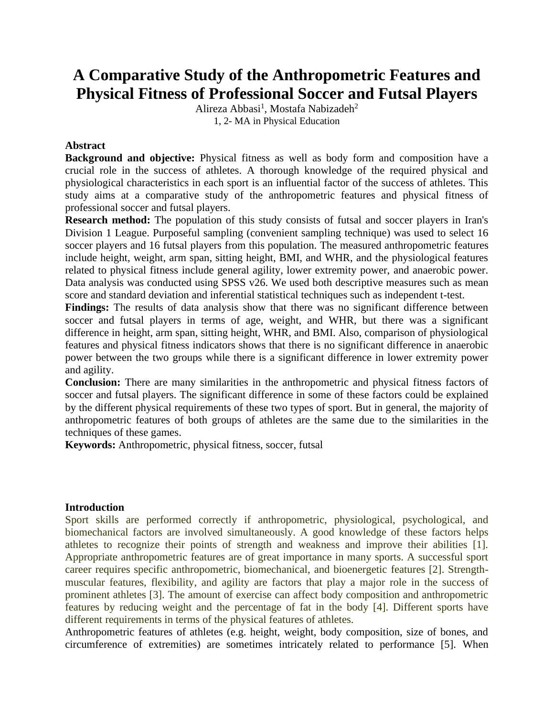# **A Comparative Study of the Anthropometric Features and Physical Fitness of Professional Soccer and Futsal Players**

Alireza Abbasi<sup>1</sup>, Mostafa Nabizadeh<sup>2</sup> 1, 2- MA in Physical Education

### **Abstract**

**Background and objective:** Physical fitness as well as body form and composition have a crucial role in the success of athletes. A thorough knowledge of the required physical and physiological characteristics in each sport is an influential factor of the success of athletes. This study aims at a comparative study of the anthropometric features and physical fitness of professional soccer and futsal players.

**Research method:** The population of this study consists of futsal and soccer players in Iran's Division 1 League. Purposeful sampling (convenient sampling technique) was used to select 16 soccer players and 16 futsal players from this population. The measured anthropometric features include height, weight, arm span, sitting height, BMI, and WHR, and the physiological features related to physical fitness include general agility, lower extremity power, and anaerobic power. Data analysis was conducted using SPSS v26. We used both descriptive measures such as mean score and standard deviation and inferential statistical techniques such as independent t-test.

Findings: The results of data analysis show that there was no significant difference between soccer and futsal players in terms of age, weight, and WHR, but there was a significant difference in height, arm span, sitting height, WHR, and BMI. Also, comparison of physiological features and physical fitness indicators shows that there is no significant difference in anaerobic power between the two groups while there is a significant difference in lower extremity power and agility.

**Conclusion:** There are many similarities in the anthropometric and physical fitness factors of soccer and futsal players. The significant difference in some of these factors could be explained by the different physical requirements of these two types of sport. But in general, the majority of anthropometric features of both groups of athletes are the same due to the similarities in the techniques of these games.

**Keywords:** Anthropometric, physical fitness, soccer, futsal

#### **Introduction**

Sport skills are performed correctly if anthropometric, physiological, psychological, and biomechanical factors are involved simultaneously. A good knowledge of these factors helps athletes to recognize their points of strength and weakness and improve their abilities [1]. Appropriate anthropometric features are of great importance in many sports. A successful sport career requires specific anthropometric, biomechanical, and bioenergetic features [2]. Strengthmuscular features, flexibility, and agility are factors that play a major role in the success of prominent athletes [3]. The amount of exercise can affect body composition and anthropometric features by reducing weight and the percentage of fat in the body [4]. Different sports have different requirements in terms of the physical features of athletes.

Anthropometric features of athletes (e.g. height, weight, body composition, size of bones, and circumference of extremities) are sometimes intricately related to performance [5]. When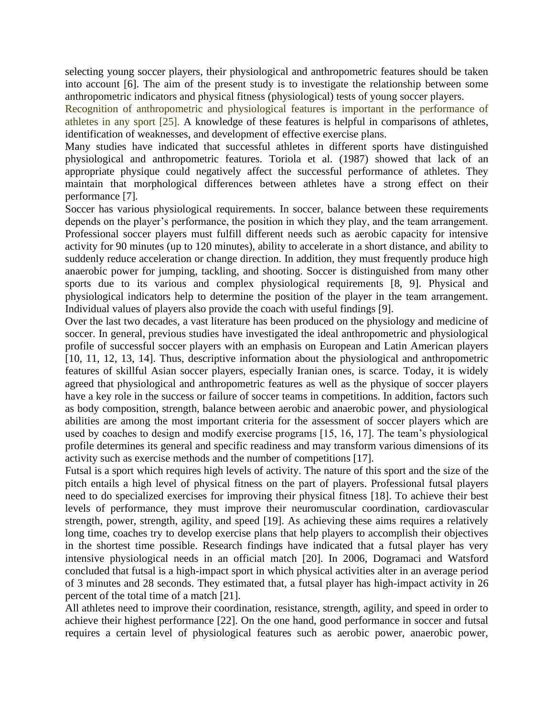selecting young soccer players, their physiological and anthropometric features should be taken into account [6]. The aim of the present study is to investigate the relationship between some anthropometric indicators and physical fitness (physiological) tests of young soccer players.

Recognition of anthropometric and physiological features is important in the performance of athletes in any sport [25]. A knowledge of these features is helpful in comparisons of athletes, identification of weaknesses, and development of effective exercise plans.

Many studies have indicated that successful athletes in different sports have distinguished physiological and anthropometric features. Toriola et al. (1987) showed that lack of an appropriate physique could negatively affect the successful performance of athletes. They maintain that morphological differences between athletes have a strong effect on their performance [7].

Soccer has various physiological requirements. In soccer, balance between these requirements depends on the player's performance, the position in which they play, and the team arrangement. Professional soccer players must fulfill different needs such as aerobic capacity for intensive activity for 90 minutes (up to 120 minutes), ability to accelerate in a short distance, and ability to suddenly reduce acceleration or change direction. In addition, they must frequently produce high anaerobic power for jumping, tackling, and shooting. Soccer is distinguished from many other sports due to its various and complex physiological requirements [8, 9]. Physical and physiological indicators help to determine the position of the player in the team arrangement. Individual values of players also provide the coach with useful findings [9].

Over the last two decades, a vast literature has been produced on the physiology and medicine of soccer. In general, previous studies have investigated the ideal anthropometric and physiological profile of successful soccer players with an emphasis on European and Latin American players [10, 11, 12, 13, 14]. Thus, descriptive information about the physiological and anthropometric features of skillful Asian soccer players, especially Iranian ones, is scarce. Today, it is widely agreed that physiological and anthropometric features as well as the physique of soccer players have a key role in the success or failure of soccer teams in competitions. In addition, factors such as body composition, strength, balance between aerobic and anaerobic power, and physiological abilities are among the most important criteria for the assessment of soccer players which are used by coaches to design and modify exercise programs [15, 16, 17]. The team's physiological profile determines its general and specific readiness and may transform various dimensions of its activity such as exercise methods and the number of competitions [17].

Futsal is a sport which requires high levels of activity. The nature of this sport and the size of the pitch entails a high level of physical fitness on the part of players. Professional futsal players need to do specialized exercises for improving their physical fitness [18]. To achieve their best levels of performance, they must improve their neuromuscular coordination, cardiovascular strength, power, strength, agility, and speed [19]. As achieving these aims requires a relatively long time, coaches try to develop exercise plans that help players to accomplish their objectives in the shortest time possible. Research findings have indicated that a futsal player has very intensive physiological needs in an official match [20]. In 2006, Dogramaci and Watsford concluded that futsal is a high-impact sport in which physical activities alter in an average period of 3 minutes and 28 seconds. They estimated that, a futsal player has high-impact activity in 26 percent of the total time of a match [21].

All athletes need to improve their coordination, resistance, strength, agility, and speed in order to achieve their highest performance [22]. On the one hand, good performance in soccer and futsal requires a certain level of physiological features such as aerobic power, anaerobic power,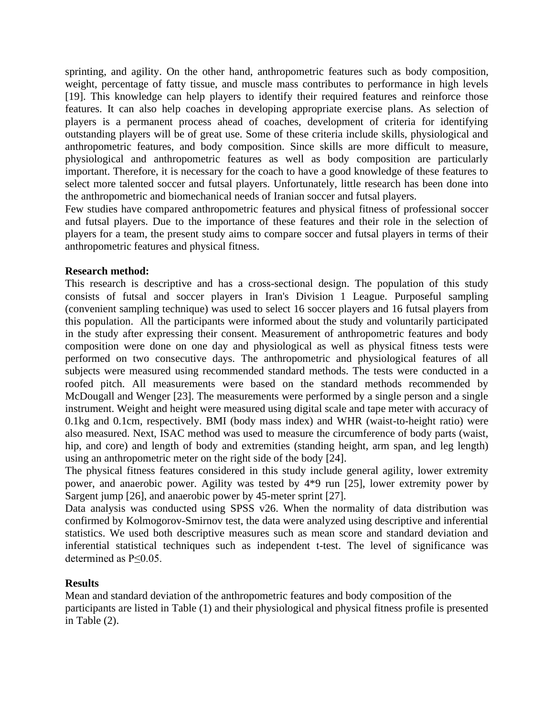sprinting, and agility. On the other hand, anthropometric features such as body composition, weight, percentage of fatty tissue, and muscle mass contributes to performance in high levels [19]. This knowledge can help players to identify their required features and reinforce those features. It can also help coaches in developing appropriate exercise plans. As selection of players is a permanent process ahead of coaches, development of criteria for identifying outstanding players will be of great use. Some of these criteria include skills, physiological and anthropometric features, and body composition. Since skills are more difficult to measure, physiological and anthropometric features as well as body composition are particularly important. Therefore, it is necessary for the coach to have a good knowledge of these features to select more talented soccer and futsal players. Unfortunately, little research has been done into the anthropometric and biomechanical needs of Iranian soccer and futsal players.

Few studies have compared anthropometric features and physical fitness of professional soccer and futsal players. Due to the importance of these features and their role in the selection of players for a team, the present study aims to compare soccer and futsal players in terms of their anthropometric features and physical fitness.

#### **Research method:**

This research is descriptive and has a cross-sectional design. The population of this study consists of futsal and soccer players in Iran's Division 1 League. Purposeful sampling (convenient sampling technique) was used to select 16 soccer players and 16 futsal players from this population. All the participants were informed about the study and voluntarily participated in the study after expressing their consent. Measurement of anthropometric features and body composition were done on one day and physiological as well as physical fitness tests were performed on two consecutive days. The anthropometric and physiological features of all subjects were measured using recommended standard methods. The tests were conducted in a roofed pitch. All measurements were based on the standard methods recommended by McDougall and Wenger [23]. The measurements were performed by a single person and a single instrument. Weight and height were measured using digital scale and tape meter with accuracy of 0.1kg and 0.1cm, respectively. BMI (body mass index) and WHR (waist-to-height ratio) were also measured. Next, ISAC method was used to measure the circumference of body parts (waist, hip, and core) and length of body and extremities (standing height, arm span, and leg length) using an anthropometric meter on the right side of the body [24].

The physical fitness features considered in this study include general agility, lower extremity power, and anaerobic power. Agility was tested by 4\*9 run [25], lower extremity power by Sargent jump [26], and anaerobic power by 45-meter sprint [27].

Data analysis was conducted using SPSS v26. When the normality of data distribution was confirmed by Kolmogorov-Smirnov test, the data were analyzed using descriptive and inferential statistics. We used both descriptive measures such as mean score and standard deviation and inferential statistical techniques such as independent t-test. The level of significance was determined as P≤0.05.

# **Results**

Mean and standard deviation of the anthropometric features and body composition of the participants are listed in Table (1) and their physiological and physical fitness profile is presented in Table (2).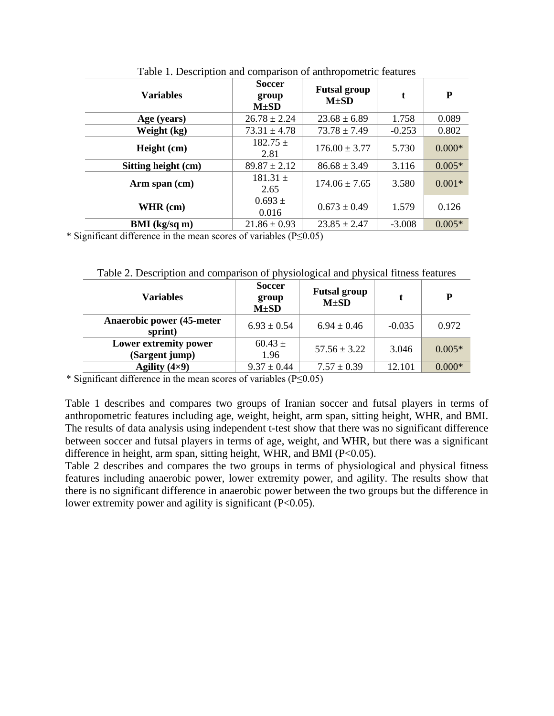| <b>Variables</b>     | <b>Soccer</b><br>group<br>$M\pm SD$ | <b>Futsal group</b><br>$M\pm SD$ | t        | P        |  |
|----------------------|-------------------------------------|----------------------------------|----------|----------|--|
| Age (years)          | $26.78 \pm 2.24$                    | $23.68 \pm 6.89$                 | 1.758    | 0.089    |  |
| Weight (kg)          | $73.31 \pm 4.78$                    | $73.78 \pm 7.49$                 | $-0.253$ | 0.802    |  |
| Height (cm)          | $182.75 \pm$<br>2.81                | $176.00 \pm 3.77$                | 5.730    | $0.000*$ |  |
| Sitting height (cm)  | $89.87 \pm 2.12$                    | $86.68 \pm 3.49$                 | 3.116    | $0.005*$ |  |
| Arm span (cm)        | $181.31 \pm$<br>2.65                | $174.06 \pm 7.65$                | 3.580    | $0.001*$ |  |
| WHR $(cm)$           | $0.693 \pm$<br>0.016                | $0.673 \pm 0.49$                 | 1.579    | 0.126    |  |
| <b>BMI</b> (kg/sq m) | $21.86 \pm 0.93$                    | $23.85 \pm 2.47$                 | $-3.008$ | $0.005*$ |  |

Table 1. Description and comparison of anthropometric features

\* Significant difference in the mean scores of variables (P≤0.05)

Table 2. Description and comparison of physiological and physical fitness features

| <b>Variables</b>                             | <b>Soccer</b><br>group<br>$M\pm SD$ | <b>Futsal group</b><br>$M\pm SD$ |          | D        |
|----------------------------------------------|-------------------------------------|----------------------------------|----------|----------|
| <b>Anaerobic power (45-meter)</b><br>sprint) | $6.93 \pm 0.54$                     | $6.94 \pm 0.46$                  | $-0.035$ | 0.972    |
| Lower extremity power<br>(Sargent jump)      | $60.43 \pm$<br>1.96                 | $57.56 \pm 3.22$                 | 3.046    | $0.005*$ |
| Agility $(4\times9)$                         | $9.37 \pm 0.44$                     | $7.57 \pm 0.39$                  | 12.101   | $0.000*$ |

\* Significant difference in the mean scores of variables (P≤0.05)

Table 1 describes and compares two groups of Iranian soccer and futsal players in terms of anthropometric features including age, weight, height, arm span, sitting height, WHR, and BMI. The results of data analysis using independent t-test show that there was no significant difference between soccer and futsal players in terms of age, weight, and WHR, but there was a significant difference in height, arm span, sitting height, WHR, and BMI ( $P<0.05$ ).

Table 2 describes and compares the two groups in terms of physiological and physical fitness features including anaerobic power, lower extremity power, and agility. The results show that there is no significant difference in anaerobic power between the two groups but the difference in lower extremity power and agility is significant (P<0.05).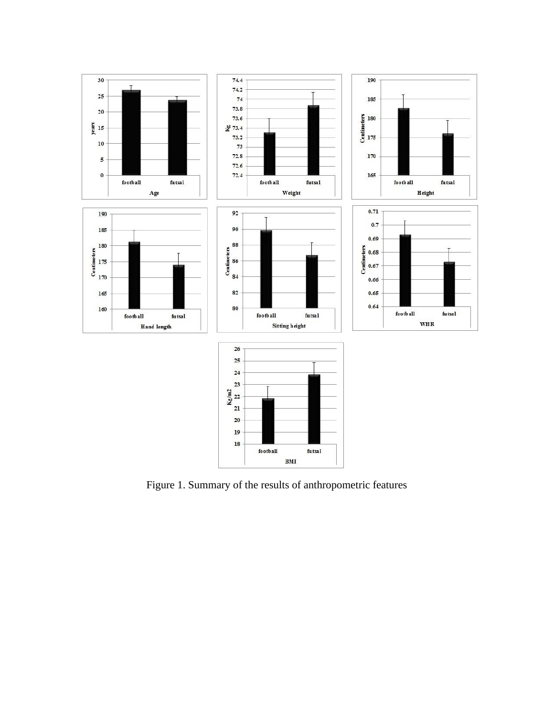

Figure 1. Summary of the results of anthropometric features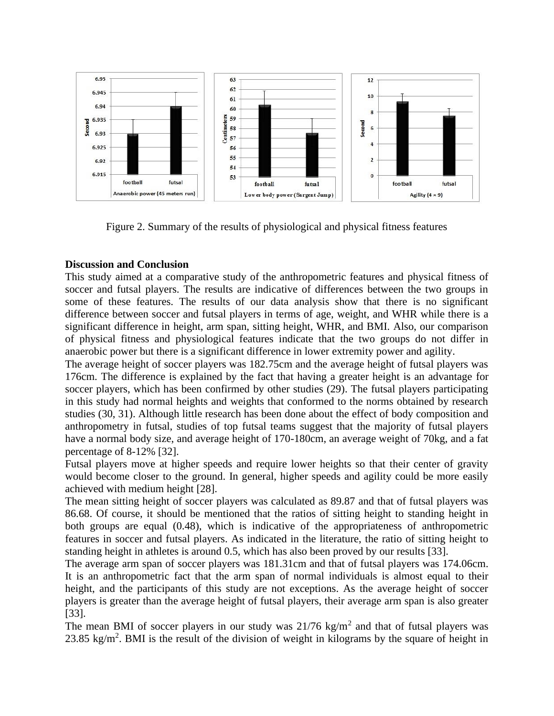

Figure 2. Summary of the results of physiological and physical fitness features

# **Discussion and Conclusion**

This study aimed at a comparative study of the anthropometric features and physical fitness of soccer and futsal players. The results are indicative of differences between the two groups in some of these features. The results of our data analysis show that there is no significant difference between soccer and futsal players in terms of age, weight, and WHR while there is a significant difference in height, arm span, sitting height, WHR, and BMI. Also, our comparison of physical fitness and physiological features indicate that the two groups do not differ in anaerobic power but there is a significant difference in lower extremity power and agility.

The average height of soccer players was 182.75cm and the average height of futsal players was 176cm. The difference is explained by the fact that having a greater height is an advantage for soccer players, which has been confirmed by other studies (29). The futsal players participating in this study had normal heights and weights that conformed to the norms obtained by research studies (30, 31). Although little research has been done about the effect of body composition and anthropometry in futsal, studies of top futsal teams suggest that the majority of futsal players have a normal body size, and average height of 170-180cm, an average weight of 70kg, and a fat percentage of 8-12% [32].

Futsal players move at higher speeds and require lower heights so that their center of gravity would become closer to the ground. In general, higher speeds and agility could be more easily achieved with medium height [28].

The mean sitting height of soccer players was calculated as 89.87 and that of futsal players was 86.68. Of course, it should be mentioned that the ratios of sitting height to standing height in both groups are equal (0.48), which is indicative of the appropriateness of anthropometric features in soccer and futsal players. As indicated in the literature, the ratio of sitting height to standing height in athletes is around 0.5, which has also been proved by our results [33].

The average arm span of soccer players was 181.31cm and that of futsal players was 174.06cm. It is an anthropometric fact that the arm span of normal individuals is almost equal to their height, and the participants of this study are not exceptions. As the average height of soccer players is greater than the average height of futsal players, their average arm span is also greater [33].

The mean BMI of soccer players in our study was  $21/76 \text{ kg/m}^2$  and that of futsal players was 23.85 kg/m<sup>2</sup>. BMI is the result of the division of weight in kilograms by the square of height in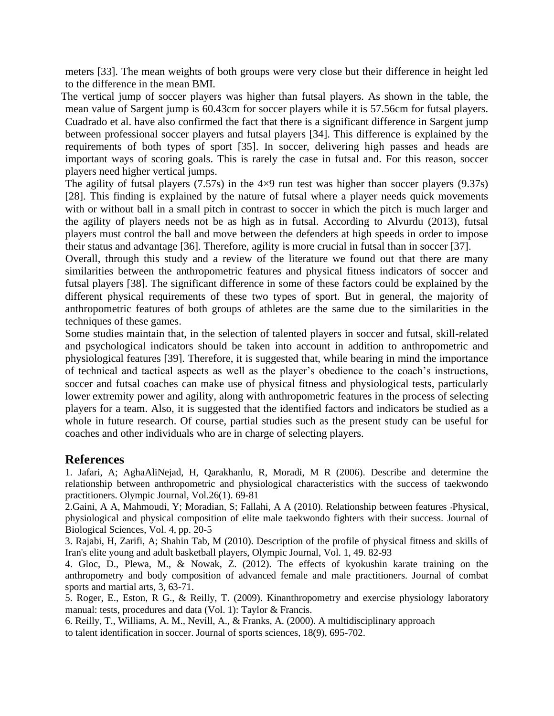meters [33]. The mean weights of both groups were very close but their difference in height led to the difference in the mean BMI.

The vertical jump of soccer players was higher than futsal players. As shown in the table, the mean value of Sargent jump is 60.43cm for soccer players while it is 57.56cm for futsal players. Cuadrado et al. have also confirmed the fact that there is a significant difference in Sargent jump between professional soccer players and futsal players [34]. This difference is explained by the requirements of both types of sport [35]. In soccer, delivering high passes and heads are important ways of scoring goals. This is rarely the case in futsal and. For this reason, soccer players need higher vertical jumps.

The agility of futsal players  $(7.57s)$  in the  $4\times9$  run test was higher than soccer players  $(9.37s)$ [28]. This finding is explained by the nature of futsal where a player needs quick movements with or without ball in a small pitch in contrast to soccer in which the pitch is much larger and the agility of players needs not be as high as in futsal. According to Alvurdu (2013), futsal players must control the ball and move between the defenders at high speeds in order to impose their status and advantage [36]. Therefore, agility is more crucial in futsal than in soccer [37].

Overall, through this study and a review of the literature we found out that there are many similarities between the anthropometric features and physical fitness indicators of soccer and futsal players [38]. The significant difference in some of these factors could be explained by the different physical requirements of these two types of sport. But in general, the majority of anthropometric features of both groups of athletes are the same due to the similarities in the techniques of these games.

Some studies maintain that, in the selection of talented players in soccer and futsal, skill-related and psychological indicators should be taken into account in addition to anthropometric and physiological features [39]. Therefore, it is suggested that, while bearing in mind the importance of technical and tactical aspects as well as the player's obedience to the coach's instructions, soccer and futsal coaches can make use of physical fitness and physiological tests, particularly lower extremity power and agility, along with anthropometric features in the process of selecting players for a team. Also, it is suggested that the identified factors and indicators be studied as a whole in future research. Of course, partial studies such as the present study can be useful for coaches and other individuals who are in charge of selecting players.

# **References**

1. Jafari, A; AghaAliNejad, H, Qarakhanlu, R, Moradi, M R (2006). Describe and determine the relationship between anthropometric and physiological characteristics with the success of taekwondo practitioners. Olympic Journal, Vol.26(1). 69-81

2.Gaini, A A, Mahmoudi, Y; Moradian, S; Fallahi, A A (2010). Relationship between features ۔Physical, physiological and physical composition of elite male taekwondo fighters with their success. Journal of Biological Sciences, Vol. 4, pp. 20-5

3. Rajabi, H, Zarifi, A; Shahin Tab, M (2010). Description of the profile of physical fitness and skills of Iran's elite young and adult basketball players, Olympic Journal, Vol. 1, 49. 82-93

4. Gloc, D., Plewa, M., & Nowak, Z. (2012). The effects of kyokushin karate training on the anthropometry and body composition of advanced female and male practitioners. Journal of combat sports and martial arts, 3, 63-71.

5. Roger, E., Eston, R G., & Reilly, T. (2009). Kinanthropometry and exercise physiology laboratory manual: tests, procedures and data (Vol. 1): Taylor & Francis.

6. Reilly, T., Williams, A. M., Nevill, A., & Franks, A. (2000). A multidisciplinary approach to talent identification in soccer. Journal of sports sciences, 18(9), 695-702.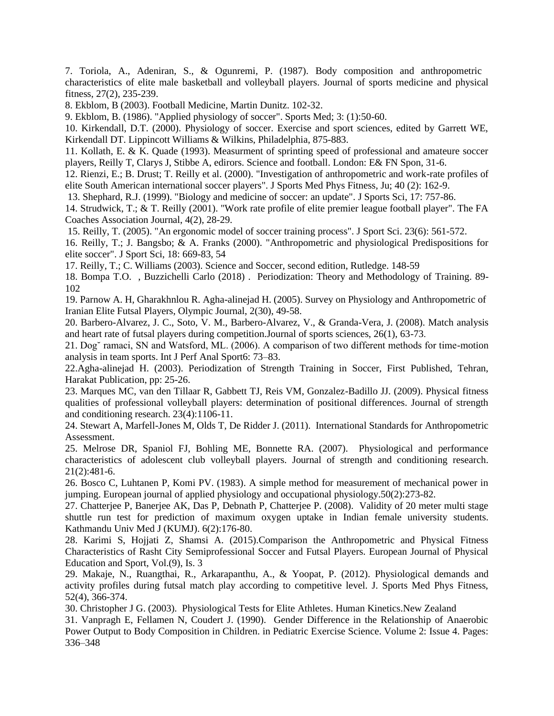7. Toriola, A., Adeniran, S., & Ogunremi, P. (1987). Body composition and anthropometric characteristics of elite male basketball and volleyball players. Journal of sports medicine and physical fitness, 27(2), 235-239.

8. Ekblom, B (2003). Football Medicine, Martin Dunitz. 102-32.

9. Ekblom, B. (1986). "Applied physiology of soccer". Sports Med; 3: (1):50-60.

10. Kirkendall, D.T. (2000). Physiology of soccer. Exercise and sport sciences, edited by Garrett WE, Kirkendall DT. Lippincott Williams & Wilkins, Philadelphia, 875-883.

11. Kollath, E. & K. Quade (1993). Measurment of sprinting speed of professional and amateure soccer players, Reilly T, Clarys J, Stibbe A, edirors. Science and football. London: E& FN Spon, 31-6.

12. Rienzi, E.; B. Drust; T. Reilly et al. (2000). "Investigation of anthropometric and work-rate profiles of elite South American international soccer players". J Sports Med Phys Fitness, Ju; 40 (2): 162-9.

13. Shephard, R.J. (1999). "Biology and medicine of soccer: an update". J Sports Sci, 17: 757-86.

14. Strudwick, T.; & T. Reilly (2001). "Work rate profile of elite premier league football player". The FA Coaches Association Journal, 4(2), 28-29.

15. Reilly, T. (2005). "An ergonomic model of soccer training process". J Sport Sci. 23(6): 561-572.

16. Reilly, T.; J. Bangsbo; & A. Franks (2000). "Anthropometric and physiological Predispositions for elite soccer". J Sport Sci, 18: 669-83, 54

17. Reilly, T.; C. Williams (2003). Science and Soccer, second edition, Rutledge. 148-59

18. Bompa [T.O.](https://www.amazon.com/Tudor-O-Bompa/e/B001H6PNEY/ref=dp_byline_cont_book_1) , Buzzichelli [Carlo](https://www.amazon.com/Carlo-Buzzichelli/e/B00SV3M1SC/ref=dp_byline_cont_book_2) (2018) . Periodization: Theory and Methodology of Training. 89- 102

19. Parnow A. H, Gharakhnlou R. Agha-alinejad H. (2005). Survey on Physiology and Anthropometric of Iranian Elite Futsal Players, Olympic Journal, 2(30), 49-58.

20. Barbero-Alvarez, J. C., Soto, V. M., Barbero-Alvarez, V., & Granda-Vera, J. (2008). Match analysis and heart rate of futsal players during competition.Journal of sports sciences, 26(1), 63-73 .

21. Dog˘ ramaci, SN and Watsford, ML. (2006). A comparison of two different methods for time-motion analysis in team sports. Int J Perf Anal Sport6: 73–83.

22.Agha-alinejad H. (2003). Periodization of Strength Training in Soccer, First Published, Tehran, Harakat Publication, pp: 25-26.

23. Marques MC, van den Tillaar R, Gabbett TJ, Reis VM, Gonzalez-Badillo JJ. (2009). Physical fitness qualities of professional volleyball players: determination of positional differences. Journal of strength and conditioning research. 23(4):1106-11.

24. Stewart A, Marfell-Jones M, Olds T, De Ridder J. (2011). International Standards for Anthropometric Assessment.

25. Melrose DR, Spaniol FJ, Bohling ME, Bonnette RA. (2007). Physiological and performance characteristics of adolescent club volleyball players. Journal of strength and conditioning research. 21(2):481-6.

26. Bosco C, Luhtanen P, Komi PV. (1983). A simple method for measurement of mechanical power in jumping. European journal of applied physiology and occupational physiology.50(2):273-82.

27. Chatterjee P, Banerjee AK, Das P, Debnath P, Chatterjee P. (2008). Validity of 20 meter multi stage shuttle run test for prediction of maximum oxygen uptake in Indian female university students. Kathmandu Univ Med J (KUMJ). 6(2):176-80.

28. Karimi S, Hojjati Z, Shamsi A. (2015).Comparison the Anthropometric and Physical Fitness Characteristics of Rasht City Semiprofessional Soccer and Futsal Players. European Journal of Physical Education and Sport, Vol.(9), Is. 3

29. Makaje, N., Ruangthai, R., Arkarapanthu, A., & Yoopat, P. (2012). Physiological demands and activity profiles during futsal match play according to competitive level. J. Sports Med Phys Fitness, 52(4), 366-374.

30. Christopher J G. (2003). Physiological Tests for Elite Athletes. Human Kinetics.New Zealand

31. Vanpragh E, Fellamen N, Coudert J. (1990). Gender Difference in the Relationship of Anaerobic Power Output to Body Composition in Children. in Pediatric Exercise Science. Volume 2: Issue 4. Pages: 336–348